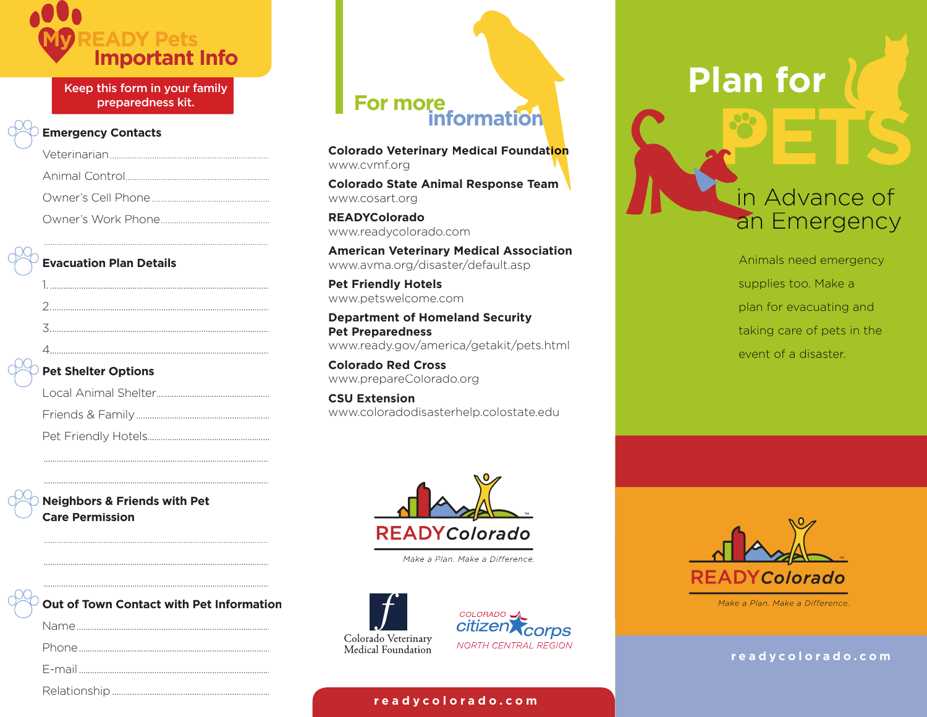

Keep this form in your family preparedness kit.

#### **Emergency Contacts**

#### **Evacuation Plan Details**

| <b>Pet Shelter Options</b> |
|----------------------------|
|                            |
|                            |
|                            |
|                            |

#### $\heartsuit$  Pet Shelter Options

 

**Neighbors & Friends with Pet Care Permission** 

| $\breve{\vee}$ Out of Town Contact with Pet Information |
|---------------------------------------------------------|
|                                                         |
|                                                         |
|                                                         |

@SZObW]\aVW^

# **For more**<br>information

**Colorado Veterinary Medical Foundation** www.cvmf.org

**Colorado State Animal Response Team** www.cosart.org

**READYColorado** www.readycolorado.com

**American Veterinary Medical Association** www.avma.org/disaster/default.asp

**Pet Friendly Hotels** www.petswelcome.com

**Department of Homeland Security Pet Preparedness** www.ready.gov/america/getakit/pets.html

**Colorado Red Cross** www.prepareColorado.org

**CSU Extension** www.coloradodisasterhelp.colostate.edu



Make a Plan. Make a Difference.





## **Plan for**

### in Advance of an Emergency

Animals need emergency supplies too. Make a plan for evacuating and taking care of pets in the event of a disaster.





 $r$  e a d y c o l o r a d o . c o m